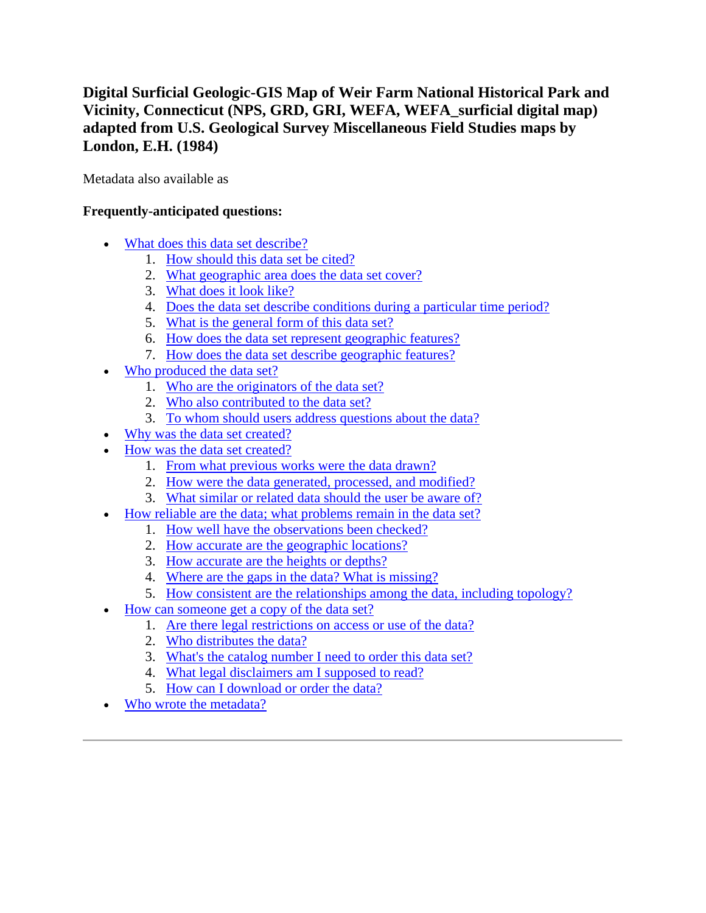# **Digital Surficial Geologic-GIS Map of Weir Farm National Historical Park and Vicinity, Connecticut (NPS, GRD, GRI, WEFA, WEFA\_surficial digital map) adapted from U.S. Geological Survey Miscellaneous Field Studies maps by London, E.H. (1984)**

Metadata also available as

## **Frequently-anticipated questions:**

- [What does this data set describe?](#page-0-0)
	- 1. [How should this data set be cited?](#page-2-0)
	- 2. [What geographic area does the data set cover?](#page-2-1)
	- 3. [What does it look like?](#page-2-2)
	- 4. [Does the data set describe conditions during a particular time period?](#page-3-0)
	- 5. [What is the general form of this data set?](#page-3-1)
	- 6. [How does the data set represent geographic features?](#page-3-2)
	- 7. [How does the data set describe geographic features?](#page-3-3)
- [Who produced the data set?](#page-4-0)
	- 1. [Who are the originators of the data set?](#page-4-1)
	- 2. [Who also contributed to the data set?](#page-4-2)
	- 3. [To whom should users address questions about the data?](#page-4-3)
- [Why was the data set created?](#page-4-4)
- [How was the data set created?](#page-4-5)
	- 1. [From what previous works were the data drawn?](#page-4-6)
	- 2. [How were the data generated, processed, and modified?](#page-5-0)
	- 3. [What similar or related data should the user be aware of?](#page-6-0)
- [How reliable are the data; what problems remain in the data set?](#page-6-1)
	- 1. [How well have the observations been checked?](#page-6-2)
	- 2. [How accurate are the geographic locations?](#page-7-0)
	- 3. [How accurate are the heights or depths?](#page-7-1)
	- 4. [Where are the gaps in the data? What is missing?](#page-7-2)
	- 5. [How consistent are the relationships among the data, including topology?](#page-7-3)
- [How can someone get a copy of the data set?](#page-7-4)
	- 1. [Are there legal restrictions on access or use of the data?](#page-7-5)
	- 2. [Who distributes the data?](#page-8-0)
	- 3. [What's the catalog number I need to order this data set?](#page-8-1)
	- 4. [What legal disclaimers am I supposed to read?](#page-8-2)
	- 5. [How can I download or order the data?](#page-9-0)
- <span id="page-0-0"></span>[Who wrote the metadata?](#page-9-1)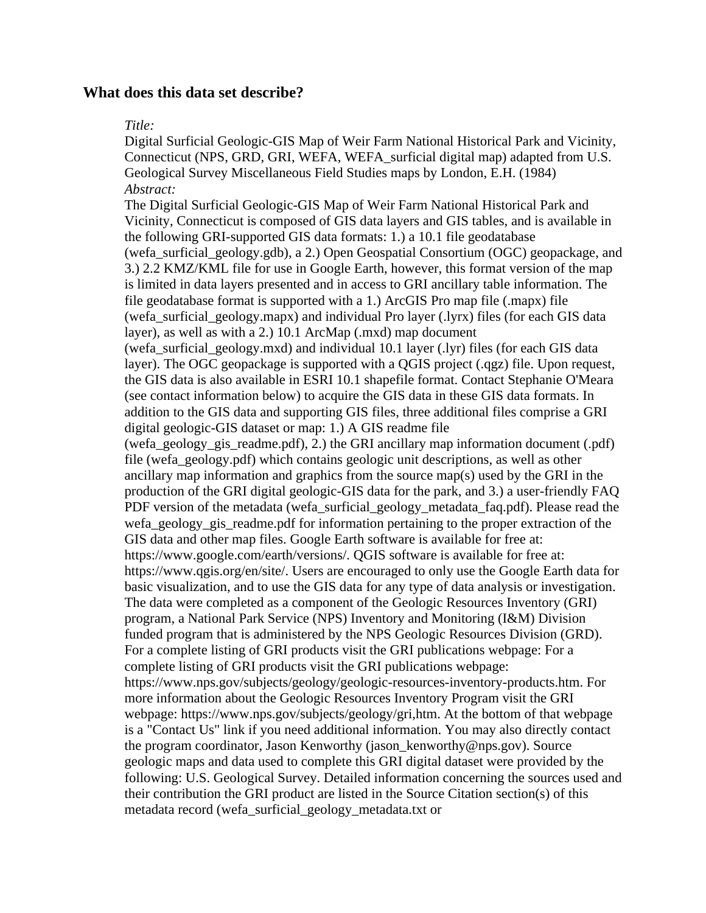## **What does this data set describe?**

#### *Title:*

Digital Surficial Geologic-GIS Map of Weir Farm National Historical Park and Vicinity, Connecticut (NPS, GRD, GRI, WEFA, WEFA\_surficial digital map) adapted from U.S. Geological Survey Miscellaneous Field Studies maps by London, E.H. (1984) *Abstract:*

The Digital Surficial Geologic-GIS Map of Weir Farm National Historical Park and Vicinity, Connecticut is composed of GIS data layers and GIS tables, and is available in the following GRI-supported GIS data formats: 1.) a 10.1 file geodatabase (wefa\_surficial\_geology.gdb), a 2.) Open Geospatial Consortium (OGC) geopackage, and 3.) 2.2 KMZ/KML file for use in Google Earth, however, this format version of the map is limited in data layers presented and in access to GRI ancillary table information. The file geodatabase format is supported with a 1.) ArcGIS Pro map file (.mapx) file (wefa\_surficial\_geology.mapx) and individual Pro layer (.lyrx) files (for each GIS data layer), as well as with a 2.) 10.1 ArcMap (.mxd) map document (wefa\_surficial\_geology.mxd) and individual 10.1 layer (.lyr) files (for each GIS data layer). The OGC geopackage is supported with a QGIS project (.qgz) file. Upon request, the GIS data is also available in ESRI 10.1 shapefile format. Contact Stephanie O'Meara (see contact information below) to acquire the GIS data in these GIS data formats. In addition to the GIS data and supporting GIS files, three additional files comprise a GRI digital geologic-GIS dataset or map: 1.) A GIS readme file (wefa\_geology\_gis\_readme.pdf), 2.) the GRI ancillary map information document (.pdf) file (wefa\_geology.pdf) which contains geologic unit descriptions, as well as other ancillary map information and graphics from the source map(s) used by the GRI in the production of the GRI digital geologic-GIS data for the park, and 3.) a user-friendly FAQ PDF version of the metadata (wefa\_surficial\_geology\_metadata\_faq.pdf). Please read the wefa\_geology\_gis\_readme.pdf for information pertaining to the proper extraction of the GIS data and other map files. Google Earth software is available for free at: https://www.google.com/earth/versions/. QGIS software is available for free at: https://www.qgis.org/en/site/. Users are encouraged to only use the Google Earth data for basic visualization, and to use the GIS data for any type of data analysis or investigation. The data were completed as a component of the Geologic Resources Inventory (GRI) program, a National Park Service (NPS) Inventory and Monitoring (I&M) Division funded program that is administered by the NPS Geologic Resources Division (GRD). For a complete listing of GRI products visit the GRI publications webpage: For a complete listing of GRI products visit the GRI publications webpage: https://www.nps.gov/subjects/geology/geologic-resources-inventory-products.htm. For more information about the Geologic Resources Inventory Program visit the GRI webpage: https://www.nps.gov/subjects/geology/gri,htm. At the bottom of that webpage is a "Contact Us" link if you need additional information. You may also directly contact the program coordinator, Jason Kenworthy (jason\_kenworthy@nps.gov). Source geologic maps and data used to complete this GRI digital dataset were provided by the following: U.S. Geological Survey. Detailed information concerning the sources used and their contribution the GRI product are listed in the Source Citation section(s) of this metadata record (wefa\_surficial\_geology\_metadata.txt or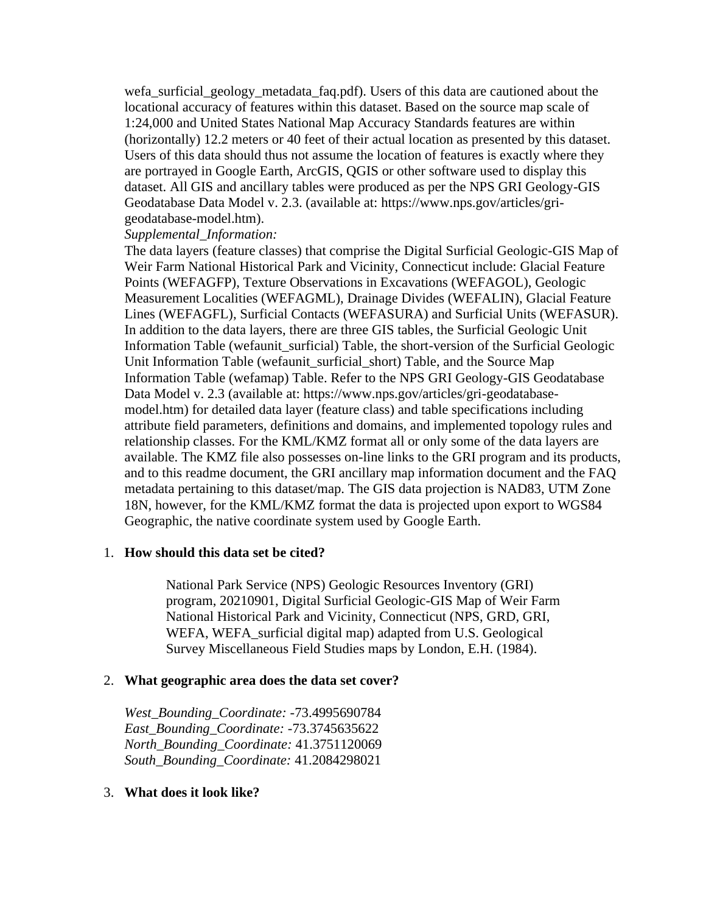wefa\_surficial\_geology\_metadata\_faq.pdf). Users of this data are cautioned about the locational accuracy of features within this dataset. Based on the source map scale of 1:24,000 and United States National Map Accuracy Standards features are within (horizontally) 12.2 meters or 40 feet of their actual location as presented by this dataset. Users of this data should thus not assume the location of features is exactly where they are portrayed in Google Earth, ArcGIS, QGIS or other software used to display this dataset. All GIS and ancillary tables were produced as per the NPS GRI Geology-GIS Geodatabase Data Model v. 2.3. (available at: https://www.nps.gov/articles/grigeodatabase-model.htm).

## *Supplemental\_Information:*

The data layers (feature classes) that comprise the Digital Surficial Geologic-GIS Map of Weir Farm National Historical Park and Vicinity, Connecticut include: Glacial Feature Points (WEFAGFP), Texture Observations in Excavations (WEFAGOL), Geologic Measurement Localities (WEFAGML), Drainage Divides (WEFALIN), Glacial Feature Lines (WEFAGFL), Surficial Contacts (WEFASURA) and Surficial Units (WEFASUR). In addition to the data layers, there are three GIS tables, the Surficial Geologic Unit Information Table (wefaunit\_surficial) Table, the short-version of the Surficial Geologic Unit Information Table (wefaunit surficial short) Table, and the Source Map Information Table (wefamap) Table. Refer to the NPS GRI Geology-GIS Geodatabase Data Model v. 2.3 (available at: https://www.nps.gov/articles/gri-geodatabasemodel.htm) for detailed data layer (feature class) and table specifications including attribute field parameters, definitions and domains, and implemented topology rules and relationship classes. For the KML/KMZ format all or only some of the data layers are available. The KMZ file also possesses on-line links to the GRI program and its products, and to this readme document, the GRI ancillary map information document and the FAQ metadata pertaining to this dataset/map. The GIS data projection is NAD83, UTM Zone 18N, however, for the KML/KMZ format the data is projected upon export to WGS84 Geographic, the native coordinate system used by Google Earth.

## <span id="page-2-0"></span>1. **How should this data set be cited?**

National Park Service (NPS) Geologic Resources Inventory (GRI) program, 20210901, Digital Surficial Geologic-GIS Map of Weir Farm National Historical Park and Vicinity, Connecticut (NPS, GRD, GRI, WEFA, WEFA surficial digital map) adapted from U.S. Geological Survey Miscellaneous Field Studies maps by London, E.H. (1984).

## <span id="page-2-1"></span>2. **What geographic area does the data set cover?**

*West\_Bounding\_Coordinate:* -73.4995690784 *East\_Bounding\_Coordinate:* -73.3745635622 *North\_Bounding\_Coordinate:* 41.3751120069 *South\_Bounding\_Coordinate:* 41.2084298021

## <span id="page-2-2"></span>3. **What does it look like?**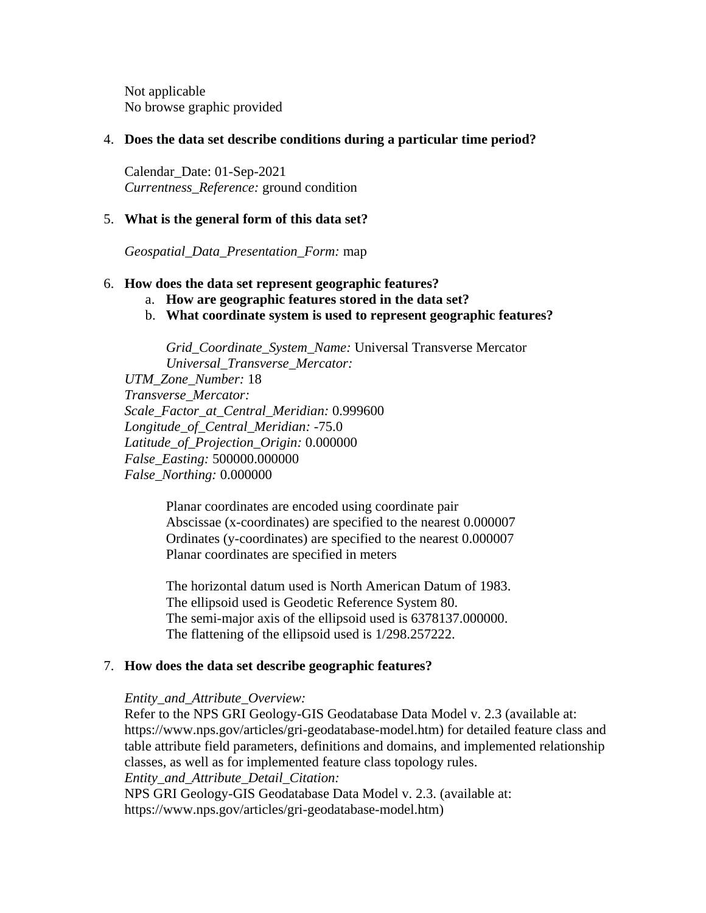Not applicable No browse graphic provided

## <span id="page-3-0"></span>4. **Does the data set describe conditions during a particular time period?**

Calendar\_Date: 01-Sep-2021 *Currentness\_Reference:* ground condition

## <span id="page-3-1"></span>5. **What is the general form of this data set?**

*Geospatial\_Data\_Presentation\_Form:* map

## <span id="page-3-2"></span>6. **How does the data set represent geographic features?**

- a. **How are geographic features stored in the data set?**
- b. **What coordinate system is used to represent geographic features?**

*Grid\_Coordinate\_System\_Name:* Universal Transverse Mercator *Universal\_Transverse\_Mercator:*

*UTM\_Zone\_Number:* 18 *Transverse\_Mercator: Scale\_Factor\_at\_Central\_Meridian:* 0.999600 *Longitude\_of\_Central\_Meridian:* -75.0 *Latitude\_of\_Projection\_Origin:* 0.000000 *False\_Easting:* 500000.000000 *False\_Northing:* 0.000000

> Planar coordinates are encoded using coordinate pair Abscissae (x-coordinates) are specified to the nearest 0.000007 Ordinates (y-coordinates) are specified to the nearest 0.000007 Planar coordinates are specified in meters

> The horizontal datum used is North American Datum of 1983. The ellipsoid used is Geodetic Reference System 80. The semi-major axis of the ellipsoid used is 6378137.000000. The flattening of the ellipsoid used is 1/298.257222.

## <span id="page-3-3"></span>7. **How does the data set describe geographic features?**

#### *Entity\_and\_Attribute\_Overview:*

Refer to the NPS GRI Geology-GIS Geodatabase Data Model v. 2.3 (available at: https://www.nps.gov/articles/gri-geodatabase-model.htm) for detailed feature class and table attribute field parameters, definitions and domains, and implemented relationship classes, as well as for implemented feature class topology rules. *Entity\_and\_Attribute\_Detail\_Citation:* NPS GRI Geology-GIS Geodatabase Data Model v. 2.3. (available at: https://www.nps.gov/articles/gri-geodatabase-model.htm)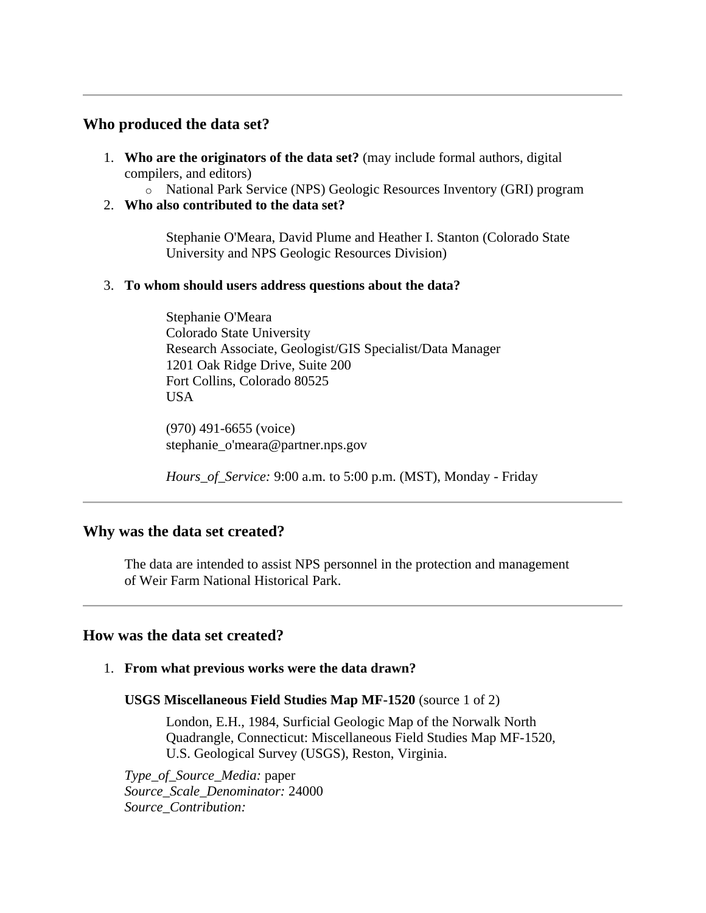## <span id="page-4-0"></span>**Who produced the data set?**

- <span id="page-4-1"></span>1. **Who are the originators of the data set?** (may include formal authors, digital compilers, and editors)
	- o National Park Service (NPS) Geologic Resources Inventory (GRI) program
- <span id="page-4-2"></span>2. **Who also contributed to the data set?**

Stephanie O'Meara, David Plume and Heather I. Stanton (Colorado State University and NPS Geologic Resources Division)

## <span id="page-4-3"></span>3. **To whom should users address questions about the data?**

Stephanie O'Meara Colorado State University Research Associate, Geologist/GIS Specialist/Data Manager 1201 Oak Ridge Drive, Suite 200 Fort Collins, Colorado 80525 USA

(970) 491-6655 (voice) stephanie\_o'meara@partner.nps.gov

*Hours\_of\_Service:* 9:00 a.m. to 5:00 p.m. (MST), Monday - Friday

## <span id="page-4-4"></span>**Why was the data set created?**

The data are intended to assist NPS personnel in the protection and management of Weir Farm National Historical Park.

## <span id="page-4-5"></span>**How was the data set created?**

<span id="page-4-6"></span>1. **From what previous works were the data drawn?**

## **USGS Miscellaneous Field Studies Map MF-1520** (source 1 of 2)

London, E.H., 1984, Surficial Geologic Map of the Norwalk North Quadrangle, Connecticut: Miscellaneous Field Studies Map MF-1520, U.S. Geological Survey (USGS), Reston, Virginia.

*Type\_of\_Source\_Media:* paper *Source\_Scale\_Denominator:* 24000 *Source\_Contribution:*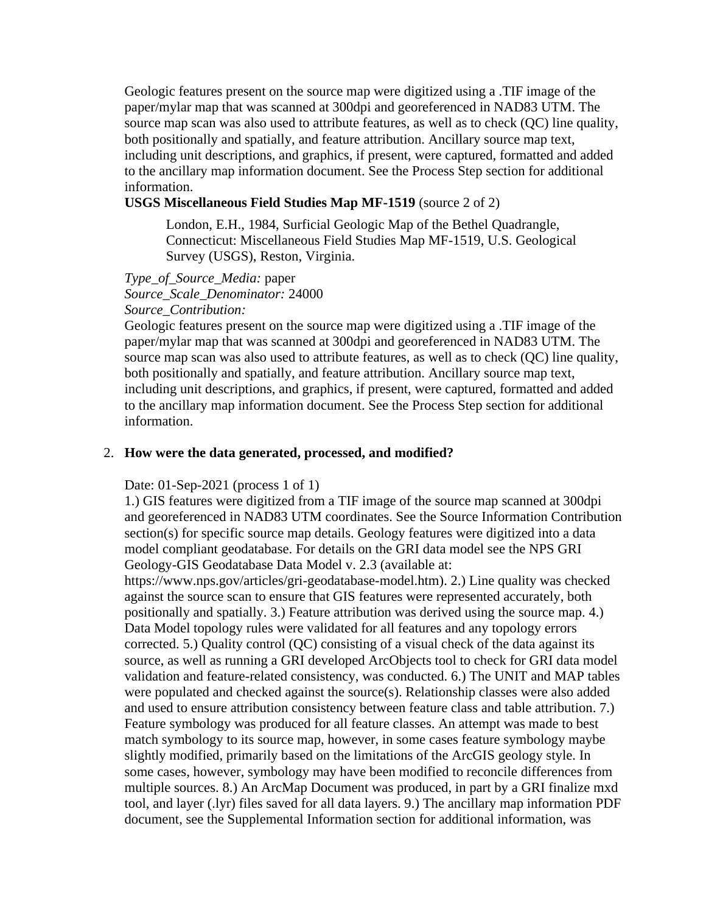Geologic features present on the source map were digitized using a .TIF image of the paper/mylar map that was scanned at 300dpi and georeferenced in NAD83 UTM. The source map scan was also used to attribute features, as well as to check (QC) line quality, both positionally and spatially, and feature attribution. Ancillary source map text, including unit descriptions, and graphics, if present, were captured, formatted and added to the ancillary map information document. See the Process Step section for additional information.

## **USGS Miscellaneous Field Studies Map MF-1519** (source 2 of 2)

London, E.H., 1984, Surficial Geologic Map of the Bethel Quadrangle, Connecticut: Miscellaneous Field Studies Map MF-1519, U.S. Geological Survey (USGS), Reston, Virginia.

*Type\_of\_Source\_Media:* paper *Source\_Scale\_Denominator:* 24000 *Source\_Contribution:*

Geologic features present on the source map were digitized using a .TIF image of the paper/mylar map that was scanned at 300dpi and georeferenced in NAD83 UTM. The source map scan was also used to attribute features, as well as to check (QC) line quality, both positionally and spatially, and feature attribution. Ancillary source map text, including unit descriptions, and graphics, if present, were captured, formatted and added to the ancillary map information document. See the Process Step section for additional information.

#### <span id="page-5-0"></span>2. **How were the data generated, processed, and modified?**

Date: 01-Sep-2021 (process 1 of 1)

1.) GIS features were digitized from a TIF image of the source map scanned at 300dpi and georeferenced in NAD83 UTM coordinates. See the Source Information Contribution section(s) for specific source map details. Geology features were digitized into a data model compliant geodatabase. For details on the GRI data model see the NPS GRI Geology-GIS Geodatabase Data Model v. 2.3 (available at:

https://www.nps.gov/articles/gri-geodatabase-model.htm). 2.) Line quality was checked against the source scan to ensure that GIS features were represented accurately, both positionally and spatially. 3.) Feature attribution was derived using the source map. 4.) Data Model topology rules were validated for all features and any topology errors corrected. 5.) Quality control (QC) consisting of a visual check of the data against its source, as well as running a GRI developed ArcObjects tool to check for GRI data model validation and feature-related consistency, was conducted. 6.) The UNIT and MAP tables were populated and checked against the source(s). Relationship classes were also added and used to ensure attribution consistency between feature class and table attribution. 7.) Feature symbology was produced for all feature classes. An attempt was made to best match symbology to its source map, however, in some cases feature symbology maybe slightly modified, primarily based on the limitations of the ArcGIS geology style. In some cases, however, symbology may have been modified to reconcile differences from multiple sources. 8.) An ArcMap Document was produced, in part by a GRI finalize mxd tool, and layer (.lyr) files saved for all data layers. 9.) The ancillary map information PDF document, see the Supplemental Information section for additional information, was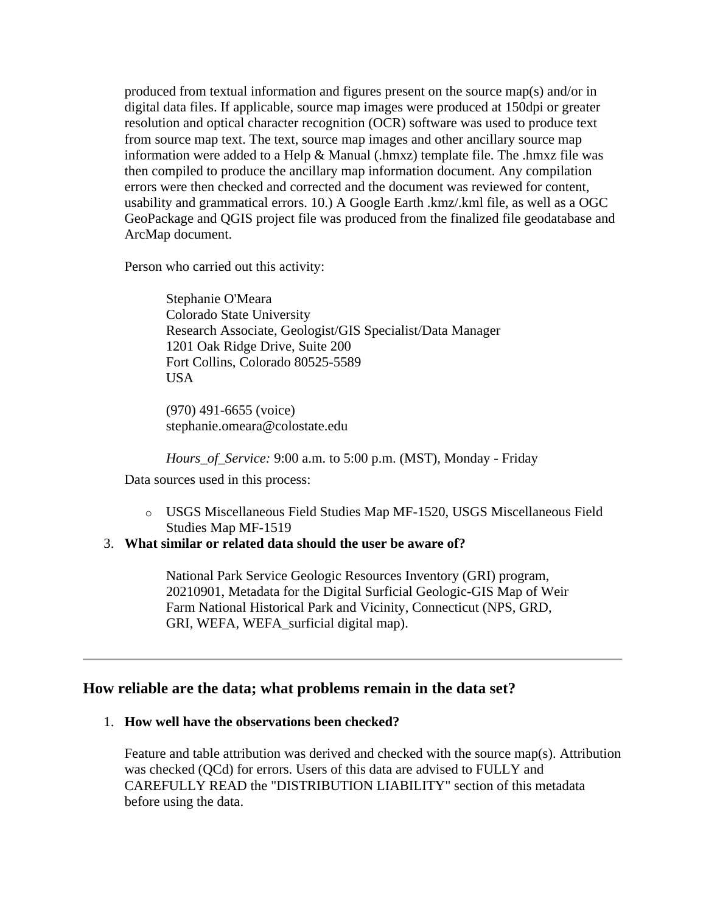produced from textual information and figures present on the source map(s) and/or in digital data files. If applicable, source map images were produced at 150dpi or greater resolution and optical character recognition (OCR) software was used to produce text from source map text. The text, source map images and other ancillary source map information were added to a Help & Manual (.hmxz) template file. The .hmxz file was then compiled to produce the ancillary map information document. Any compilation errors were then checked and corrected and the document was reviewed for content, usability and grammatical errors. 10.) A Google Earth .kmz/.kml file, as well as a OGC GeoPackage and QGIS project file was produced from the finalized file geodatabase and ArcMap document.

Person who carried out this activity:

Stephanie O'Meara Colorado State University Research Associate, Geologist/GIS Specialist/Data Manager 1201 Oak Ridge Drive, Suite 200 Fort Collins, Colorado 80525-5589 USA

(970) 491-6655 (voice) stephanie.omeara@colostate.edu

*Hours\_of\_Service:* 9:00 a.m. to 5:00 p.m. (MST), Monday - Friday

Data sources used in this process:

o USGS Miscellaneous Field Studies Map MF-1520, USGS Miscellaneous Field Studies Map MF-1519

## <span id="page-6-0"></span>3. **What similar or related data should the user be aware of?**

National Park Service Geologic Resources Inventory (GRI) program, 20210901, Metadata for the Digital Surficial Geologic-GIS Map of Weir Farm National Historical Park and Vicinity, Connecticut (NPS, GRD, GRI, WEFA, WEFA\_surficial digital map).

## <span id="page-6-1"></span>**How reliable are the data; what problems remain in the data set?**

## <span id="page-6-2"></span>1. **How well have the observations been checked?**

Feature and table attribution was derived and checked with the source map(s). Attribution was checked (QCd) for errors. Users of this data are advised to FULLY and CAREFULLY READ the "DISTRIBUTION LIABILITY" section of this metadata before using the data.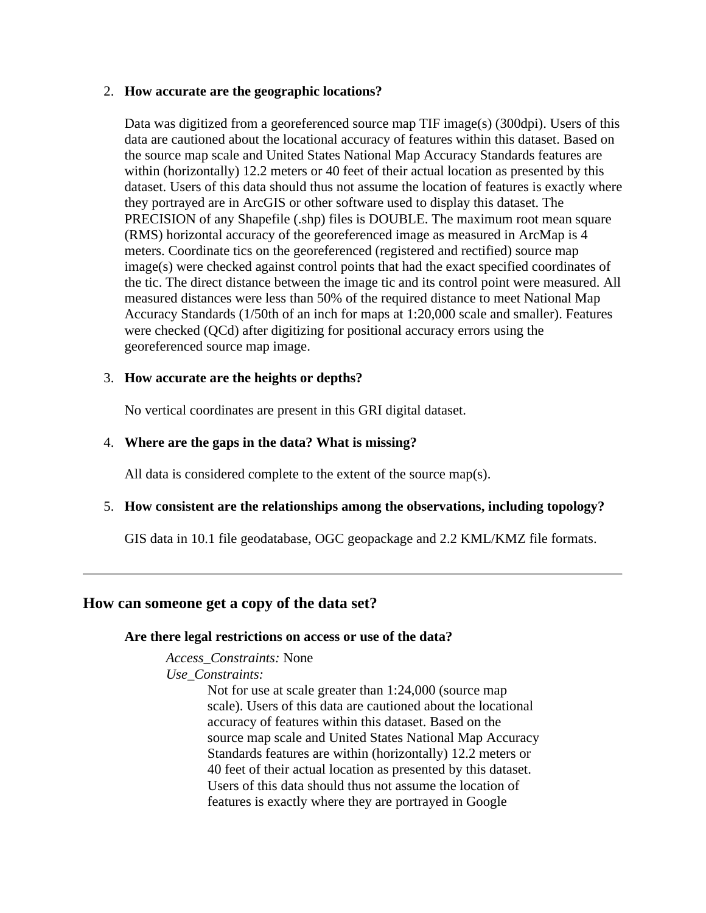#### <span id="page-7-0"></span>2. **How accurate are the geographic locations?**

Data was digitized from a georeferenced source map TIF image(s) (300dpi). Users of this data are cautioned about the locational accuracy of features within this dataset. Based on the source map scale and United States National Map Accuracy Standards features are within (horizontally) 12.2 meters or 40 feet of their actual location as presented by this dataset. Users of this data should thus not assume the location of features is exactly where they portrayed are in ArcGIS or other software used to display this dataset. The PRECISION of any Shapefile (.shp) files is DOUBLE. The maximum root mean square (RMS) horizontal accuracy of the georeferenced image as measured in ArcMap is 4 meters. Coordinate tics on the georeferenced (registered and rectified) source map image(s) were checked against control points that had the exact specified coordinates of the tic. The direct distance between the image tic and its control point were measured. All measured distances were less than 50% of the required distance to meet National Map Accuracy Standards (1/50th of an inch for maps at 1:20,000 scale and smaller). Features were checked (QCd) after digitizing for positional accuracy errors using the georeferenced source map image.

## <span id="page-7-1"></span>3. **How accurate are the heights or depths?**

No vertical coordinates are present in this GRI digital dataset.

## <span id="page-7-2"></span>4. **Where are the gaps in the data? What is missing?**

All data is considered complete to the extent of the source map(s).

## <span id="page-7-3"></span>5. **How consistent are the relationships among the observations, including topology?**

GIS data in 10.1 file geodatabase, OGC geopackage and 2.2 KML/KMZ file formats.

## <span id="page-7-5"></span><span id="page-7-4"></span>**How can someone get a copy of the data set?**

## **Are there legal restrictions on access or use of the data?**

*Access\_Constraints:* None

*Use\_Constraints:*

Not for use at scale greater than 1:24,000 (source map scale). Users of this data are cautioned about the locational accuracy of features within this dataset. Based on the source map scale and United States National Map Accuracy Standards features are within (horizontally) 12.2 meters or 40 feet of their actual location as presented by this dataset. Users of this data should thus not assume the location of features is exactly where they are portrayed in Google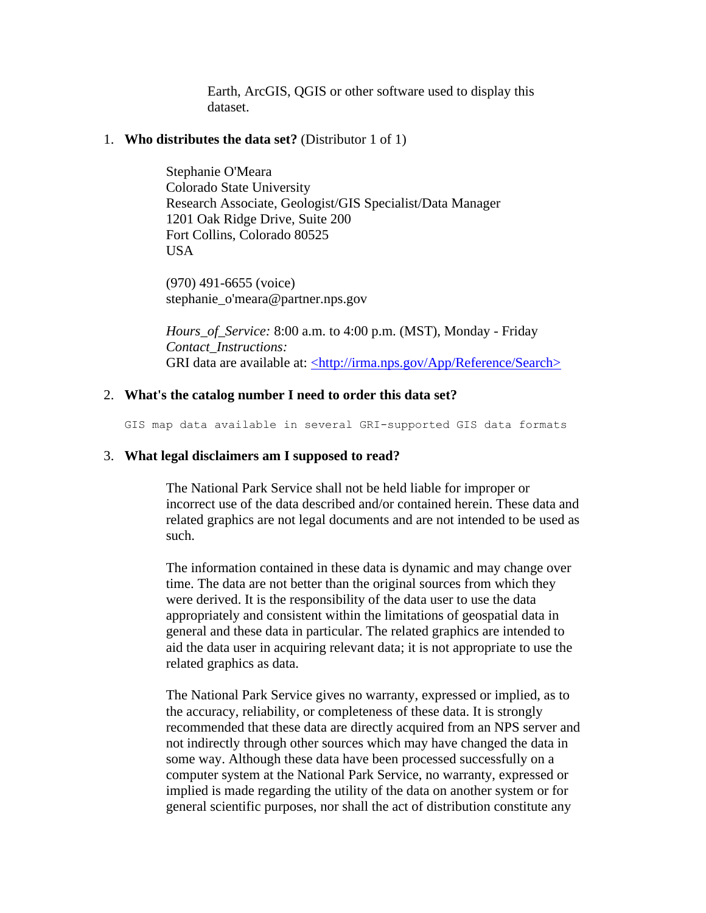Earth, ArcGIS, QGIS or other software used to display this dataset.

#### <span id="page-8-0"></span>1. **Who distributes the data set?** (Distributor 1 of 1)

Stephanie O'Meara Colorado State University Research Associate, Geologist/GIS Specialist/Data Manager 1201 Oak Ridge Drive, Suite 200 Fort Collins, Colorado 80525 USA

(970) 491-6655 (voice) stephanie\_o'meara@partner.nps.gov

*Hours\_of\_Service:* 8:00 a.m. to 4:00 p.m. (MST), Monday - Friday *Contact\_Instructions:* GRI data are available at: [<http://irma.nps.gov/App/Reference/Search>](http://irma.nps.gov/App/Reference/Search)

#### <span id="page-8-1"></span>2. **What's the catalog number I need to order this data set?**

GIS map data available in several GRI-supported GIS data formats

#### <span id="page-8-2"></span>3. **What legal disclaimers am I supposed to read?**

The National Park Service shall not be held liable for improper or incorrect use of the data described and/or contained herein. These data and related graphics are not legal documents and are not intended to be used as such.

The information contained in these data is dynamic and may change over time. The data are not better than the original sources from which they were derived. It is the responsibility of the data user to use the data appropriately and consistent within the limitations of geospatial data in general and these data in particular. The related graphics are intended to aid the data user in acquiring relevant data; it is not appropriate to use the related graphics as data.

The National Park Service gives no warranty, expressed or implied, as to the accuracy, reliability, or completeness of these data. It is strongly recommended that these data are directly acquired from an NPS server and not indirectly through other sources which may have changed the data in some way. Although these data have been processed successfully on a computer system at the National Park Service, no warranty, expressed or implied is made regarding the utility of the data on another system or for general scientific purposes, nor shall the act of distribution constitute any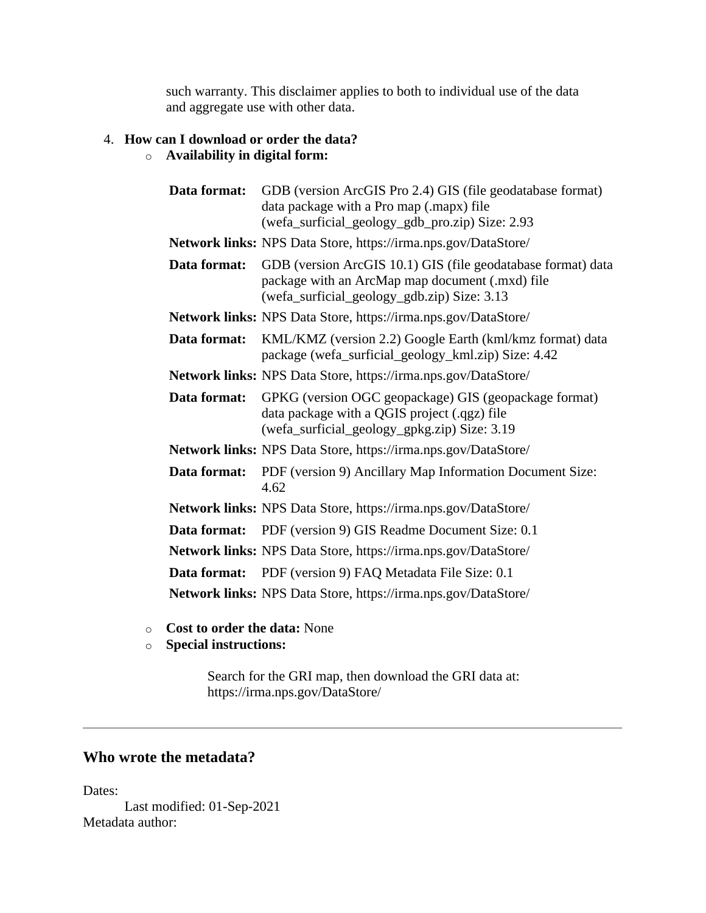such warranty. This disclaimer applies to both to individual use of the data and aggregate use with other data.

## <span id="page-9-0"></span>4. **How can I download or order the data?**

# o **Availability in digital form:**

| Data format: | GDB (version ArcGIS Pro 2.4) GIS (file geodatabase format)<br>data package with a Pro map (.mapx) file<br>(wefa_surficial_geology_gdb_pro.zip) Size: 2.93      |
|--------------|----------------------------------------------------------------------------------------------------------------------------------------------------------------|
|              | Network links: NPS Data Store, https://irma.nps.gov/DataStore/                                                                                                 |
| Data format: | GDB (version ArcGIS 10.1) GIS (file geodatabase format) data<br>package with an ArcMap map document (.mxd) file<br>(wefa_surficial_geology_gdb.zip) Size: 3.13 |
|              | Network links: NPS Data Store, https://irma.nps.gov/DataStore/                                                                                                 |
| Data format: | KML/KMZ (version 2.2) Google Earth (kml/kmz format) data<br>package (wefa_surficial_geology_kml.zip) Size: 4.42                                                |
|              | Network links: NPS Data Store, https://irma.nps.gov/DataStore/                                                                                                 |
| Data format: | GPKG (version OGC geopackage) GIS (geopackage format)<br>data package with a QGIS project (.qgz) file<br>(wefa_surficial_geology_gpkg.zip) Size: 3.19          |
|              | Network links: NPS Data Store, https://irma.nps.gov/DataStore/                                                                                                 |
| Data format: | PDF (version 9) Ancillary Map Information Document Size:<br>4.62                                                                                               |
|              | Network links: NPS Data Store, https://irma.nps.gov/DataStore/                                                                                                 |
| Data format: | PDF (version 9) GIS Readme Document Size: 0.1                                                                                                                  |
|              | Network links: NPS Data Store, https://irma.nps.gov/DataStore/                                                                                                 |
| Data format: | PDF (version 9) FAQ Metadata File Size: 0.1                                                                                                                    |
|              | <b>Network links:</b> NPS Data Store, https://irma.nps.gov/DataStore/                                                                                          |

- o **Cost to order the data:** None
- o **Special instructions:**

Search for the GRI map, then download the GRI data at: https://irma.nps.gov/DataStore/

# <span id="page-9-1"></span>**Who wrote the metadata?**

Dates:

Last modified: 01-Sep-2021 Metadata author: